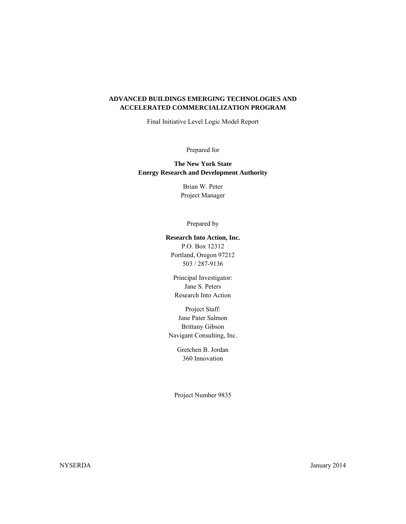### **ADVANCED BUILDINGS EMERGING TECHNOLOGIES AND ACCELERATED COMMERCIALIZATION PROGRAM**

Final Initiative Level Logic Model Report

Prepared for

 **The New York State Energy Research and Development Authority**

> Brian W. Peter Project Manager

#### Prepared by

#### **Research Into Action, Inc.**

P.O. Box 12312 Portland, Oregon 97212 503 / 287-9136

Principal Investigator: Jane S. Peters Research Into Action

Project Staff: Jane Pater Salmon Brittany Gibson Navigant Consulting, Inc.

> Gretchen B. Jordan 360 Innovation

Project Number 9835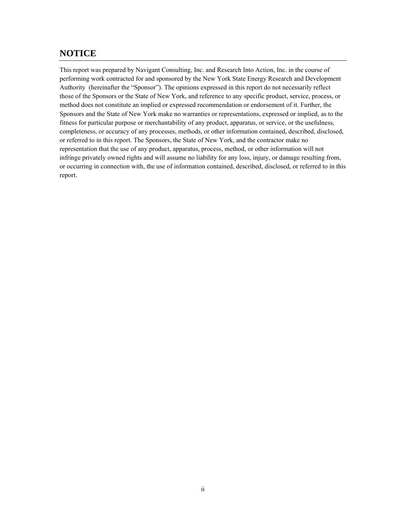## **NOTICE**

 This report was prepared by Navigant Consulting, Inc. and Research Into Action, Inc. in the course of Authority (hereinafter the "Sponsor"). The opinions expressed in this report do not necessarily reflect performing work contracted for and sponsored by the New York State Energy Research and Development those of the Sponsors or the State of New York, and reference to any specific product, service, process, or method does not constitute an implied or expressed recommendation or endorsement of it. Further, the Sponsors and the State of New York make no warranties or representations, expressed or implied, as to the fitness for particular purpose or merchantability of any product, apparatus, or service, or the usefulness, completeness, or accuracy of any processes, methods, or other information contained, described, disclosed, or referred to in this report. The Sponsors, the State of New York, and the contractor make no representation that the use of any product, apparatus, process, method, or other information will not infringe privately owned rights and will assume no liability for any loss, injury, or damage resulting from, or occurring in connection with, the use of information contained, described, disclosed, or referred to in this report.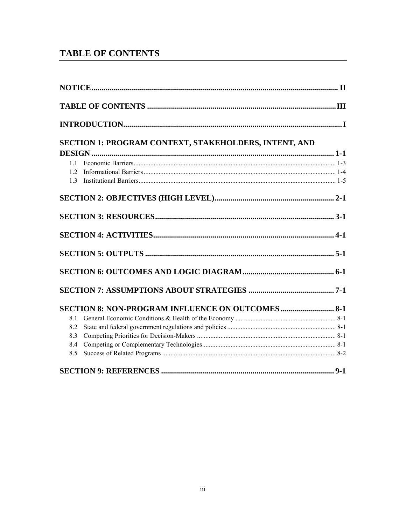# **TABLE OF CONTENTS**

|     | $\bf INTRODUCTION. 1.11$                                |  |
|-----|---------------------------------------------------------|--|
|     | SECTION 1: PROGRAM CONTEXT, STAKEHOLDERS, INTENT, AND   |  |
|     |                                                         |  |
| 11  |                                                         |  |
| 12  |                                                         |  |
| 1.3 |                                                         |  |
|     |                                                         |  |
|     |                                                         |  |
|     |                                                         |  |
|     |                                                         |  |
|     |                                                         |  |
|     |                                                         |  |
|     | <b>SECTION 8: NON-PROGRAM INFLUENCE ON OUTCOMES 8-1</b> |  |
| 8.1 |                                                         |  |
| 8.2 |                                                         |  |
| 8.3 |                                                         |  |
| 8.4 |                                                         |  |
| 8.5 |                                                         |  |
|     |                                                         |  |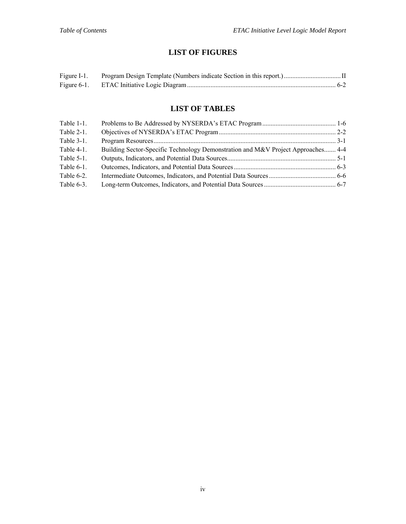## **LIST OF FIGURES**

| Figure I-1. |  |
|-------------|--|
|             |  |

## **LIST OF TABLES**

| Table $1-1$ . |                                                                                  |  |
|---------------|----------------------------------------------------------------------------------|--|
| Table $2-1$ . |                                                                                  |  |
| Table $3-1$ . |                                                                                  |  |
| Table $4-1$ . | Building Sector-Specific Technology Demonstration and M&V Project Approaches 4-4 |  |
| Table $5-1$ . |                                                                                  |  |
| Table $6-1$ . |                                                                                  |  |
| Table 6-2.    |                                                                                  |  |
| Table 6-3.    |                                                                                  |  |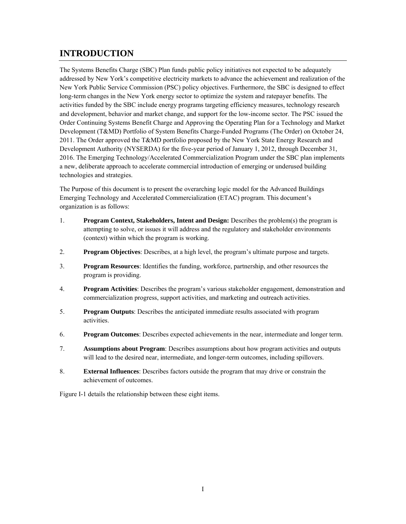# **INTRODUCTION**

 The Systems Benefits Charge (SBC) Plan funds public policy initiatives not expected to be adequately addressed by New York's competitive electricity markets to advance the achievement and realization of the activities funded by the SBC include energy programs targeting efficiency measures, technology research Development (T&MD) Portfolio of System Benefits Charge-Funded Programs (The Order) on October 24, 2011. The Order approved the T&MD portfolio proposed by the New York State Energy Research and New York Public Service Commission (PSC) policy objectives. Furthermore, the SBC is designed to effect long-term changes in the New York energy sector to optimize the system and ratepayer benefits. The and development, behavior and market change, and support for the low-income sector. The PSC issued the Order Continuing Systems Benefit Charge and Approving the Operating Plan for a Technology and Market Development Authority (NYSERDA) for the five-year period of January 1, 2012, through December 31, 2016. The Emerging Technology/Accelerated Commercialization Program under the SBC plan implements a new, deliberate approach to accelerate commercial introduction of emerging or underused building technologies and strategies.

 The Purpose of this document is to present the overarching logic model for the Advanced Buildings organization is as follows: Emerging Technology and Accelerated Commercialization (ETAC) program. This document's

- 1. **Program Context, Stakeholders, Intent and Design:** Describes the problem(s) the program is attempting to solve, or issues it will address and the regulatory and stakeholder environments (context) within which the program is working.
- **Program Objectives:** Describes, at a high level, the program's ultimate purpose and targets. **Program Objectives**: Describes, at a high level, the program's ultimate purpose and targets.<br>3. **Program Resources**: Identifies the funding, workforce, partnership, and other resources the
- program is providing.
- **4. Program Activities**: Describes the program's various stakeholder engagement, demonstration and commercialization progress, support activities, and marketing and outreach activities.
- 5. **Program Outputs**: Describes the anticipated immediate results associated with program activities.
- 6. **Program Outcomes**: Describes expected achievements in the near, intermediate and longer term.
- 7. **Assumptions about Program**: Describes assumptions about how program activities and outputs will lead to the desired near, intermediate, and longer-term outcomes, including spillovers.
- 8. **External Influences**: Describes factors outside the program that may drive or constrain the achievement of outcomes.

Figure I-1 details the relationship between these eight items.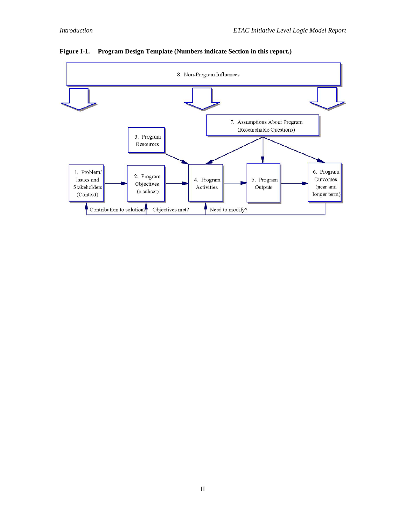

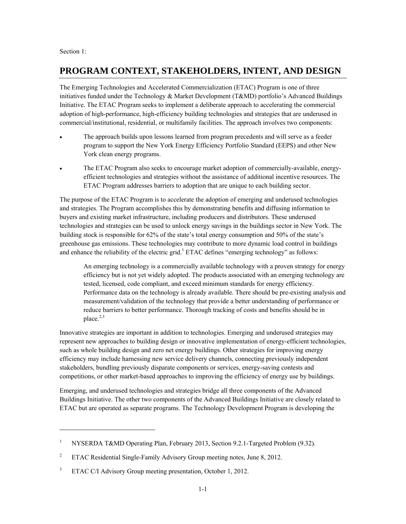Section 1:

 $\overline{a}$ 

## **PROGRAM CONTEXT, STAKEHOLDERS, INTENT, AND DESIGN**

The Emerging Technologies and Accelerated Commercialization (ETAC) Program is one of three initiatives funded under the Technology & Market Development (T&MD) portfolio's Advanced Buildings Initiative. The ETAC Program seeks to implement a deliberate approach to accelerating the commercial adoption of high-performance, high-efficiency building technologies and strategies that are underused in commercial/institutional, residential, or multifamily facilities. The approach involves two components:

- The approach builds upon lessons learned from program precedents and will serve as a feeder program to support the New York Energy Efficiency Portfolio Standard (EEPS) and other New York clean energy programs.
- The ETAC Program also seeks to encourage market adoption of commercially-available, energyefficient technologies and strategies without the assistance of additional incentive resources. The ETAC Program addresses barriers to adoption that are unique to each building sector.

and enhance the reliability of the electric grid.<sup>1</sup> ETAC defines "emerging technology" as follows: The purpose of the ETAC Program is to accelerate the adoption of emerging and underused technologies and strategies. The Program accomplishes this by demonstrating benefits and diffusing information to buyers and existing market infrastructure, including producers and distributors. These underused technologies and strategies can be used to unlock energy savings in the buildings sector in New York. The building stock is responsible for 62% of the state's total energy consumption and 50% of the state's greenhouse gas emissions. These technologies may contribute to more dynamic load control in buildings

 An emerging technology is a commercially available technology with a proven strategy for energy Performance data on the technology is already available. There should be pre-existing analysis and reduce barriers to better performance. Thorough tracking of costs and benefits should be in efficiency but is not yet widely adopted. The products associated with an emerging technology are tested, licensed, code compliant, and exceed minimum standards for energy efficiency. measurement/validation of the technology that provide a better understanding of performance or place. $^{2,3}$ 

 such as whole building design and zero net energy buildings. Other strategies for improving energy competitions, or other market-based approaches to improving the efficiency of energy use by buildings. Innovative strategies are important in addition to technologies. Emerging and underused strategies may represent new approaches to building design or innovative implementation of energy-efficient technologies, efficiency may include harnessing new service delivery channels, connecting previously independent stakeholders, bundling previously disparate components or services, energy-saving contests and

Emerging, and underused technologies and strategies bridge all three components of the Advanced Buildings Initiative. The other two components of the Advanced Buildings Initiative are closely related to ETAC but are operated as separate programs. The Technology Development Program is developing the

 $\,1$ 1 NYSERDA T&MD Operating Plan, February 2013, Section 9.2.1-Targeted Problem (9.32).

 $\sqrt{2}$ 2 ETAC Residential Single-Family Advisory Group meeting notes, June 8, 2012.

 $\ensuremath{\mathfrak{Z}}$ ETAC C/I Advisory Group meeting presentation, October 1, 2012.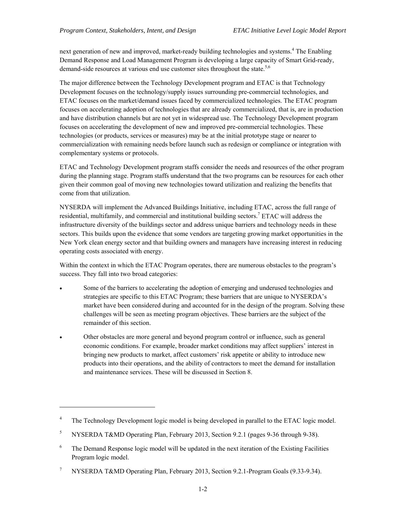demand-side resources at various end use customer sites throughout the state.<sup>5,6</sup> next generation of new and improved, market-ready building technologies and systems.<sup>4</sup> The Enabling Demand Response and Load Management Program is developing a large capacity of Smart Grid-ready,

 The major difference between the Technology Development program and ETAC is that Technology commercialization with remaining needs before launch such as redesign or compliance or integration with Development focuses on the technology/supply issues surrounding pre-commercial technologies, and ETAC focuses on the market/demand issues faced by commercialized technologies. The ETAC program focuses on accelerating adoption of technologies that are already commercialized, that is, are in production and have distribution channels but are not yet in widespread use. The Technology Development program focuses on accelerating the development of new and improved pre-commercial technologies. These technologies (or products, services or measures) may be at the initial prototype stage or nearer to complementary systems or protocols.

come from that utilization. ETAC and Technology Development program staffs consider the needs and resources of the other program during the planning stage. Program staffs understand that the two programs can be resources for each other given their common goal of moving new technologies toward utilization and realizing the benefits that

 infrastructure diversity of the buildings sector and address unique barriers and technology needs in these NYSERDA will implement the Advanced Buildings Initiative, including ETAC, across the full range of residential, multifamily, and commercial and institutional building sectors.<sup>7</sup> ETAC will address the sectors. This builds upon the evidence that some vendors are targeting growing market opportunities in the New York clean energy sector and that building owners and managers have increasing interest in reducing operating costs associated with energy.

Within the context in which the ETAC Program operates, there are numerous obstacles to the program's success. They fall into two broad categories:

- Some of the barriers to accelerating the adoption of emerging and underused technologies and strategies are specific to this ETAC Program; these barriers that are unique to NYSERDA's market have been considered during and accounted for in the design of the program. Solving these challenges will be seen as meeting program objectives. These barriers are the subject of the remainder of this section.
- Other obstacles are more general and beyond program control or influence, such as general economic conditions. For example, broader market conditions may affect suppliers' interest in and maintenance services. These will be discussed in Section 8. bringing new products to market, affect customers' risk appetite or ability to introduce new products into their operations, and the ability of contractors to meet the demand for installation

 $\overline{a}$ 

 $\overline{\mathbf{4}}$ 4 The Technology Development logic model is being developed in parallel to the ETAC logic model.

<sup>5</sup> 5 NYSERDA T&MD Operating Plan, February 2013, Section 9.2.1 (pages 9-36 through 9-38).

<sup>6</sup> 6 The Demand Response logic model will be updated in the next iteration of the Existing Facilities Program logic model.

 $\boldsymbol{7}$ 7 NYSERDA T&MD Operating Plan, February 2013, Section 9.2.1-Program Goals (9.33-9.34).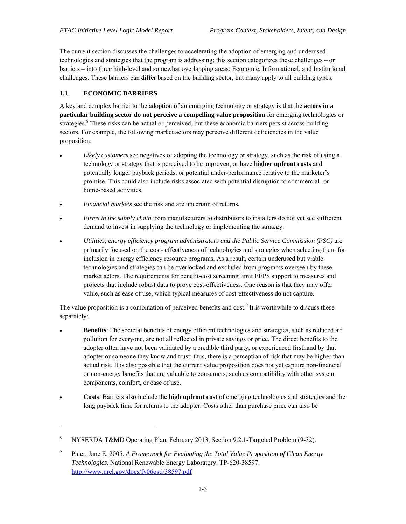challenges. These barriers can differ based on the building sector, but many apply to all building types. The current section discusses the challenges to accelerating the adoption of emerging and underused technologies and strategies that the program is addressing; this section categorizes these challenges – or barriers – into three high-level and somewhat overlapping areas: Economic, Informational, and Institutional

### **1.1 ECONOMIC BARRIERS**

-

A key and complex barrier to the adoption of an emerging technology or strategy is that the **actors in a particular building sector do not perceive a compelling value proposition** for emerging technologies or strategies.<sup>8</sup> These risks can be actual or perceived, but these economic barriers persist across building sectors. For example, the following market actors may perceive different deficiencies in the value proposition:

- *Likely customers* see negatives of adopting the technology or strategy, such as the risk of using a technology or strategy that is perceived to be unproven, or have **higher upfront costs** and promise. This could also include risks associated with potential disruption to commercial- or potentially longer payback periods, or potential under-performance relative to the marketer's home-based activities.
- *Financial markets* see the risk and are uncertain of returns.
- *Firms in the supply chain* from manufacturers to distributors to installers do not yet see sufficient demand to invest in supplying the technology or implementing the strategy.
- inclusion in energy efficiency resource programs. As a result, certain underused but viable technologies and strategies can be overlooked and excluded from programs overseen by these *Utilities, energy efficiency program administrators and the Public Service Commission (PSC)* are primarily focused on the cost- effectiveness of technologies and strategies when selecting them for market actors. The requirements for benefit-cost screening limit EEPS support to measures and projects that include robust data to prove cost-effectiveness. One reason is that they may offer value, such as ease of use, which typical measures of cost-effectiveness do not capture.

The value proposition is a combination of perceived benefits and cost.<sup>9</sup> It is worthwhile to discuss these separately:

- adopter often have not been validated by a credible third party, or experienced firsthand by that components, comfort, or ease of use. **Benefits**: The societal benefits of energy efficient technologies and strategies, such as reduced air pollution for everyone, are not all reflected in private savings or price. The direct benefits to the adopter or someone they know and trust; thus, there is a perception of risk that may be higher than actual risk. It is also possible that the current value proposition does not yet capture non-financial or non-energy benefits that are valuable to consumers, such as compatibility with other system
- **Costs:** Barriers also include the **high upfront cost** of emerging technologies and strategies and the long payback time for returns to the adopter. Costs other than purchase price can also be

<sup>8</sup> NYSERDA T&MD Operating Plan, February 2013, Section 9.2.1-Targeted Problem (9-32).

<sup>&</sup>lt;sup>9</sup> Pater, Jane E. 2005. *A Framework for Evaluating the Total Value Proposition of Clean Energy Technologies.* National Renewable Energy Laboratory. TP-620-38597. http://www.nrel.gov/docs/fy06osti/38597.pdf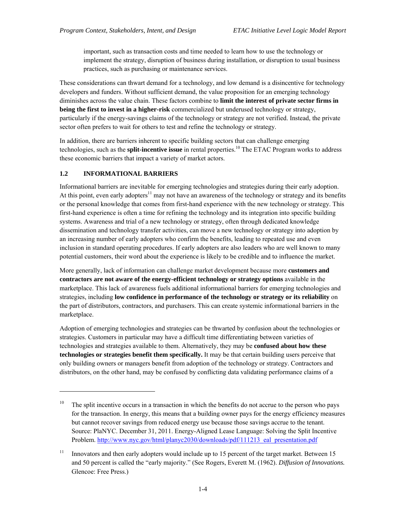important, such as transaction costs and time needed to learn how to use the technology or implement the strategy, disruption of business during installation, or disruption to usual business practices, such as purchasing or maintenance services.

 developers and funders. Without sufficient demand, the value proposition for an emerging technology sector often prefers to wait for others to test and refine the technology or strategy. These considerations can thwart demand for a technology, and low demand is a disincentive for technology diminishes across the value chain. These factors combine to **limit the interest of private sector firms in being the first to invest in a higher-risk** commercialized but underused technology or strategy, particularly if the energy-savings claims of the technology or strategy are not verified. Instead, the private

 these economic barriers that impact a variety of market actors. In addition, there are barriers inherent to specific building sectors that can challenge emerging technologies, such as the **split-incentive issue** in rental properties.10 The ETAC Program works to address

### **1.2 INFORMATIONAL BARRIERS**

 $\overline{a}$ 

At this point, even early adopters<sup>11</sup> may not have an awareness of the technology or strategy and its benefits Informational barriers are inevitable for emerging technologies and strategies during their early adoption. or the personal knowledge that comes from first-hand experience with the new technology or strategy. This first-hand experience is often a time for refining the technology and its integration into specific building systems. Awareness and trial of a new technology or strategy, often through dedicated knowledge dissemination and technology transfer activities, can move a new technology or strategy into adoption by an increasing number of early adopters who confirm the benefits, leading to repeated use and even inclusion in standard operating procedures. If early adopters are also leaders who are well known to many potential customers, their word about the experience is likely to be credible and to influence the market.

 **contractors are not aware of the energy-efficient technology or strategy options** available in the  strategies, including **low confidence in performance of the technology or strategy or its reliability** on More generally, lack of information can challenge market development because more **customers and**  marketplace. This lack of awareness fuels additional informational barriers for emerging technologies and the part of distributors, contractors, and purchasers. This can create systemic informational barriers in the marketplace.

Adoption of emerging technologies and strategies can be thwarted by confusion about the technologies or strategies. Customers in particular may have a difficult time differentiating between varieties of technologies and strategies available to them. Alternatively, they may be **confused about how these technologies or strategies benefit them specifically.** It may be that certain building users perceive that only building owners or managers benefit from adoption of the technology or strategy. Contractors and distributors, on the other hand, may be confused by conflicting data validating performance claims of a

 $10<sup>10</sup>$ Problem. http://www.nyc.gov/html/planyc2030/downloads/pdf/111213 eal presentation.pdf The split incentive occurs in a transaction in which the benefits do not accrue to the person who pays for the transaction. In energy, this means that a building owner pays for the energy efficiency measures but cannot recover savings from reduced energy use because those savings accrue to the tenant. Source: PlaNYC. December 31, 2011. Energy-Aligned Lease Language: Solving the Split Incentive

<sup>11</sup> Innovators and then early adopters would include up to 15 percent of the target market. Between 15 and 50 percent is called the "early majority." (See Rogers, Everett M. (1962). *Diffusion of Innovations.*  Glencoe: Free Press.)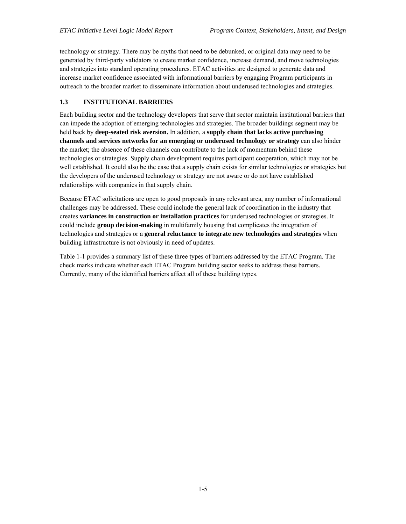technology or strategy. There may be myths that need to be debunked, or original data may need to be generated by third-party validators to create market confidence, increase demand, and move technologies and strategies into standard operating procedures. ETAC activities are designed to generate data and increase market confidence associated with informational barriers by engaging Program participants in outreach to the broader market to disseminate information about underused technologies and strategies.

### **1.3 INSTITUTIONAL BARRIERS**

 Each building sector and the technology developers that serve that sector maintain institutional barriers that the market; the absence of these channels can contribute to the lack of momentum behind these the developers of the underused technology or strategy are not aware or do not have established can impede the adoption of emerging technologies and strategies. The broader buildings segment may be held back by **deep-seated risk aversion.** In addition, a **supply chain that lacks active purchasing channels and services networks for an emerging or underused technology or strategy** can also hinder technologies or strategies. Supply chain development requires participant cooperation, which may not be well established. It could also be the case that a supply chain exists for similar technologies or strategies but relationships with companies in that supply chain.

 could include **group decision-making** in multifamily housing that complicates the integration of building infrastructure is not obviously in need of updates. Because ETAC solicitations are open to good proposals in any relevant area, any number of informational challenges may be addressed. These could include the general lack of coordination in the industry that creates **variances in construction or installation practices** for underused technologies or strategies. It technologies and strategies or a **general reluctance to integrate new technologies and strategies** when

Table 1-1 provides a summary list of these three types of barriers addressed by the ETAC Program. The check marks indicate whether each ETAC Program building sector seeks to address these barriers. Currently, many of the identified barriers affect all of these building types.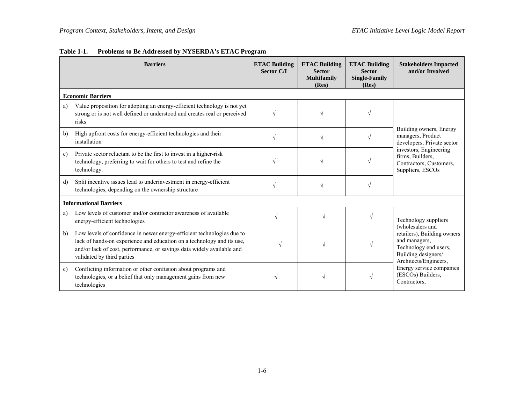|              | <b>Barriers</b>                                                                                                                                                                                                                                          | <b>ETAC Building</b><br><b>Sector C/I</b> | <b>ETAC Building</b><br><b>Sector</b><br><b>Multifamily</b><br>(Res) | <b>ETAC Building</b><br><b>Sector</b><br><b>Single-Family</b><br>(Res) | <b>Stakeholders Impacted</b><br>and/or Involved                                                                       |  |
|--------------|----------------------------------------------------------------------------------------------------------------------------------------------------------------------------------------------------------------------------------------------------------|-------------------------------------------|----------------------------------------------------------------------|------------------------------------------------------------------------|-----------------------------------------------------------------------------------------------------------------------|--|
|              | <b>Economic Barriers</b>                                                                                                                                                                                                                                 |                                           |                                                                      |                                                                        |                                                                                                                       |  |
| a)           | Value proposition for adopting an energy-efficient technology is not yet<br>strong or is not well defined or understood and creates real or perceived<br>risks                                                                                           |                                           |                                                                      |                                                                        |                                                                                                                       |  |
| b)           | High upfront costs for energy-efficient technologies and their<br>installation                                                                                                                                                                           |                                           | $\sqrt{ }$                                                           |                                                                        | Building owners, Energy<br>managers, Product<br>developers, Private sector                                            |  |
| $\mathbf{c}$ | Private sector reluctant to be the first to invest in a higher-risk<br>technology, preferring to wait for others to test and refine the<br>technology.                                                                                                   |                                           |                                                                      |                                                                        | investors, Engineering<br>firms, Builders,<br>Contractors, Customers,<br>Suppliers, ESCOs                             |  |
| $\mathbf{d}$ | Split incentive issues lead to underinvestment in energy-efficient<br>technologies, depending on the ownership structure                                                                                                                                 |                                           | V                                                                    |                                                                        |                                                                                                                       |  |
|              | <b>Informational Barriers</b>                                                                                                                                                                                                                            |                                           |                                                                      |                                                                        |                                                                                                                       |  |
| a)           | Low levels of customer and/or contractor awareness of available<br>energy-efficient technologies                                                                                                                                                         |                                           | $\sqrt{ }$                                                           |                                                                        | Technology suppliers<br>(wholesalers and                                                                              |  |
| b)           | Low levels of confidence in newer energy-efficient technologies due to<br>lack of hands-on experience and education on a technology and its use,<br>and/or lack of cost, performance, or savings data widely available and<br>validated by third parties | $\sqrt{}$                                 |                                                                      | V                                                                      | retailers), Building owners<br>and managers,<br>Technology end users,<br>Building designers/<br>Architects/Engineers, |  |
| c)           | Conflicting information or other confusion about programs and<br>technologies, or a belief that only management gains from new<br>technologies                                                                                                           |                                           |                                                                      | $\sqrt{}$                                                              | Energy service companies<br>(ESCOs) Builders,<br>Contractors,                                                         |  |

## **Table 1-1. Problems to Be Addressed by NYSERDA's ETAC Program**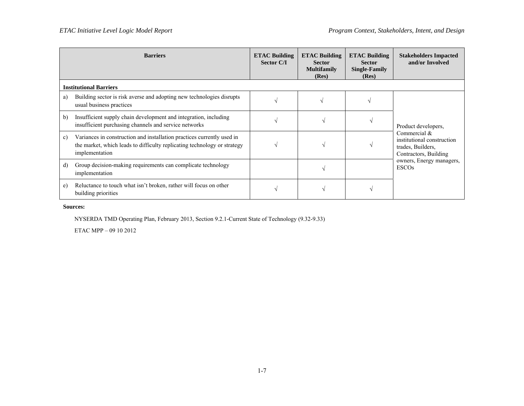|    | <b>Barriers</b>                                                                                                                                                      | <b>ETAC Building</b><br><b>Sector C/I</b> | <b>ETAC Building</b><br><b>Sector</b><br><b>Multifamily</b><br>(Res) | <b>ETAC Building</b><br><b>Sector</b><br><b>Single-Family</b><br>(Res) | <b>Stakeholders Impacted</b><br>and/or Involved                                          |  |
|----|----------------------------------------------------------------------------------------------------------------------------------------------------------------------|-------------------------------------------|----------------------------------------------------------------------|------------------------------------------------------------------------|------------------------------------------------------------------------------------------|--|
|    | <b>Institutional Barriers</b>                                                                                                                                        |                                           |                                                                      |                                                                        |                                                                                          |  |
| a) | Building sector is risk averse and adopting new technologies disrupts<br>usual business practices                                                                    |                                           |                                                                      |                                                                        |                                                                                          |  |
| b) | Insufficient supply chain development and integration, including<br>insufficient purchasing channels and service networks                                            |                                           |                                                                      |                                                                        | Product developers.                                                                      |  |
| c) | Variances in construction and installation practices currently used in<br>the market, which leads to difficulty replicating technology or strategy<br>implementation |                                           |                                                                      |                                                                        | Commercial &<br>institutional construction<br>trades, Builders,<br>Contractors, Building |  |
| d) | Group decision-making requirements can complicate technology<br>implementation                                                                                       |                                           |                                                                      |                                                                        | owners, Energy managers,<br><b>ESCOs</b>                                                 |  |
| e) | Reluctance to touch what isn't broken, rather will focus on other<br>building priorities                                                                             |                                           |                                                                      |                                                                        |                                                                                          |  |

### **Sources:**

NYSERDA TMD Operating Plan, February 2013, Section 9.2.1-Current State of Technology (9.32-9.33)

ETAC MPP – 09 10 2012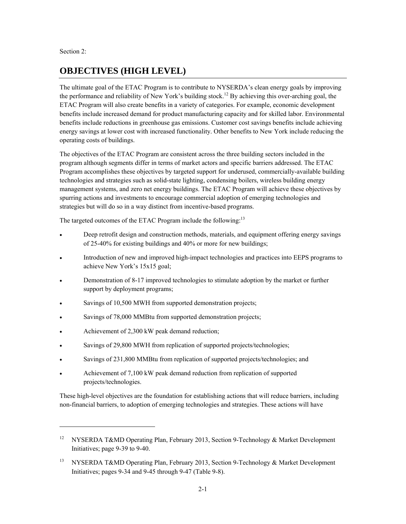Section 2:

 $\overline{a}$ 

# **OBJECTIVES (HIGH LEVEL)**

 energy savings at lower cost with increased functionality. Other benefits to New York include reducing the operating costs of buildings. The ultimate goal of the ETAC Program is to contribute to NYSERDA's clean energy goals by improving the performance and reliability of New York's building stock.<sup>12</sup> By achieving this over-arching goal, the ETAC Program will also create benefits in a variety of categories. For example, economic development benefits include increased demand for product manufacturing capacity and for skilled labor. Environmental benefits include reductions in greenhouse gas emissions. Customer cost savings benefits include achieving

The objectives of the ETAC Program are consistent across the three building sectors included in the program although segments differ in terms of market actors and specific barriers addressed. The ETAC Program accomplishes these objectives by targeted support for underused, commercially-available building technologies and strategies such as solid-state lighting, condensing boilers, wireless building energy management systems, and zero net energy buildings. The ETAC Program will achieve these objectives by spurring actions and investments to encourage commercial adoption of emerging technologies and strategies but will do so in a way distinct from incentive-based programs.

The targeted outcomes of the ETAC Program include the following:<sup>13</sup>

- of 25-40% for existing buildings and 40% or more for new buildings; Deep retrofit design and construction methods, materials, and equipment offering energy savings
- Introduction of new and improved high-impact technologies and practices into EEPS programs to achieve New York's 15x15 goal;
- Demonstration of 8-17 improved technologies to stimulate adoption by the market or further support by deployment programs;
- Savings of 10,500 MWH from supported demonstration projects;
- Savings of 78,000 MMBtu from supported demonstration projects;
- Achievement of 2,300 kW peak demand reduction;
- Savings of 29,800 MWH from replication of supported projects/technologies;
- Savings of 231,800 MMBtu from replication of supported projects/technologies; and
- Achievement of 7,100 kW peak demand reduction from replication of supported projects/technologies.

These high-level objectives are the foundation for establishing actions that will reduce barriers, including non-financial barriers, to adoption of emerging technologies and strategies. These actions will have

<sup>12</sup> NYSERDA T&MD Operating Plan, February 2013, Section 9-Technology & Market Development Initiatives; page 9-39 to 9-40.

<sup>13</sup> NYSERDA T&MD Operating Plan, February 2013, Section 9-Technology & Market Development Initiatives; pages 9-34 and 9-45 through 9-47 (Table 9-8).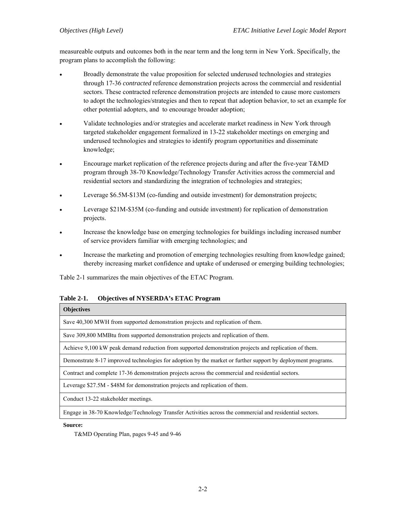measureable outputs and outcomes both in the near term and the long term in New York. Specifically, the program plans to accomplish the following:

- Broadly demonstrate the value proposition for selected underused technologies and strategies through 17-36 *contracted* reference demonstration projects across the commercial and residential sectors. These contracted reference demonstration projects are intended to cause more customers to adopt the technologies/strategies and then to repeat that adoption behavior, to set an example for other potential adopters, and to encourage broader adoption;
- Validate technologies and/or strategies and accelerate market readiness in New York through targeted stakeholder engagement formalized in 13-22 stakeholder meetings on emerging and underused technologies and strategies to identify program opportunities and disseminate knowledge;
- Encourage market replication of the reference projects during and after the five-year T&MD program through 38-70 Knowledge/Technology Transfer Activities across the commercial and residential sectors and standardizing the integration of technologies and strategies;
- Leverage \$6.5M-\$13M (co-funding and outside investment) for demonstration projects;
- Leverage \$21M-\$35M (co-funding and outside investment) for replication of demonstration projects.
- Increase the knowledge base on emerging technologies for buildings including increased number of service providers familiar with emerging technologies; and
- Increase the marketing and promotion of emerging technologies resulting from knowledge gained; thereby increasing market confidence and uptake of underused or emerging building technologies;

Table 2-1 summarizes the main objectives of the ETAC Program.

| Table 2-1. | <b>Objectives of NYSERDA's ETAC Program</b> |
|------------|---------------------------------------------|
|------------|---------------------------------------------|

#### **Objectives**

Save 40,300 MWH from supported demonstration projects and replication of them.

Save 309,800 MMBtu from supported demonstration projects and replication of them.

Achieve 9,100 kW peak demand reduction from supported demonstration projects and replication of them.

Demonstrate 8-17 improved technologies for adoption by the market or further support by deployment programs.

Contract and complete 17-36 demonstration projects across the commercial and residential sectors.

Leverage \$27.5M - \$48M for demonstration projects and replication of them.

Conduct 13-22 stakeholder meetings.

Engage in 38-70 Knowledge/Technology Transfer Activities across the commercial and residential sectors.

**Source:** 

T&MD Operating Plan, pages 9-45 and 9-46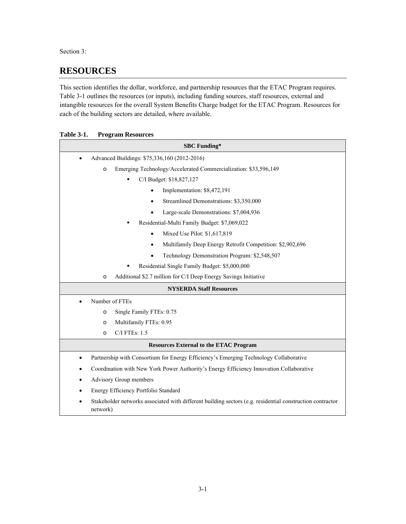Section 3:

# **RESOURCES**

This section identifies the dollar, workforce, and partnership resources that the ETAC Program requires. Table 3-1 outlines the resources (or inputs), including funding sources, staff resources, external and intangible resources for the overall System Benefits Charge budget for the ETAC Program. Resources for each of the building sectors are detailed, where available.

 **Table 3-1. Program Resources** 

| <b>SBC Funding*</b>                                                                                                   |  |  |  |
|-----------------------------------------------------------------------------------------------------------------------|--|--|--|
| Advanced Buildings: \$75,336,160 (2012-2016)                                                                          |  |  |  |
| Emerging Technology/Accelerated Commercialization: \$33,596,149<br>$\circ$                                            |  |  |  |
| C/I Budget: \$18,827,127                                                                                              |  |  |  |
| Implementation: \$8,472,191                                                                                           |  |  |  |
| Streamlined Demonstrations: \$3,350,000<br>$\bullet$                                                                  |  |  |  |
| Large-scale Demonstrations: \$7,004,936                                                                               |  |  |  |
| Residential-Multi Family Budget: \$7,069,022                                                                          |  |  |  |
| Mixed Use Pilot: \$1,617,819<br>$\bullet$                                                                             |  |  |  |
| Multifamily Deep Energy Retrofit Competition: \$2,902,696<br>$\bullet$                                                |  |  |  |
| Technology Demonstration Program: \$2,548,507                                                                         |  |  |  |
| Residential Single Family Budget: \$5,000,000                                                                         |  |  |  |
| Additional \$2.7 million for C/I Deep Energy Savings Initiative<br>$\circ$                                            |  |  |  |
| <b>NYSERDA Staff Resources</b>                                                                                        |  |  |  |
| Number of FTEs                                                                                                        |  |  |  |
| Single Family FTEs: 0.75<br>$\circ$                                                                                   |  |  |  |
| Multifamily FTEs: 0.95<br>$\circ$                                                                                     |  |  |  |
| C/I FTEs: 1.5<br>$\circ$                                                                                              |  |  |  |
| <b>Resources External to the ETAC Program</b>                                                                         |  |  |  |
| Partnership with Consortium for Energy Efficiency's Emerging Technology Collaborative<br>٠                            |  |  |  |
| Coordination with New York Power Authority's Energy Efficiency Innovation Collaborative                               |  |  |  |
| Advisory Group members                                                                                                |  |  |  |
| Energy Efficiency Portfolio Standard                                                                                  |  |  |  |
| Stakeholder networks associated with different building sectors (e.g. residential construction contractor<br>network) |  |  |  |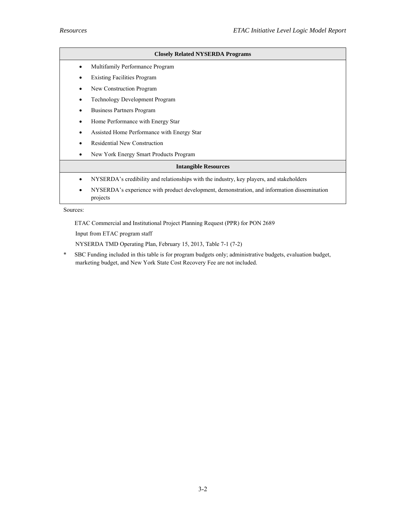| <b>Closely Related NYSERDA Programs</b> |                                                                                                         |  |  |
|-----------------------------------------|---------------------------------------------------------------------------------------------------------|--|--|
|                                         | Multifamily Performance Program                                                                         |  |  |
|                                         | <b>Existing Facilities Program</b>                                                                      |  |  |
|                                         | New Construction Program                                                                                |  |  |
|                                         | <b>Technology Development Program</b>                                                                   |  |  |
|                                         | Business Partners Program                                                                               |  |  |
|                                         | Home Performance with Energy Star                                                                       |  |  |
|                                         | Assisted Home Performance with Energy Star                                                              |  |  |
|                                         | <b>Residential New Construction</b>                                                                     |  |  |
|                                         | New York Energy Smart Products Program                                                                  |  |  |
| <b>Intangible Resources</b>             |                                                                                                         |  |  |
|                                         | NYSERDA's credibility and relationships with the industry, key players, and stakeholders                |  |  |
| ٠                                       | NYSERDA's experience with product development, demonstration, and information dissemination<br>projects |  |  |

Sources:

ETAC Commercial and Institutional Project Planning Request (PPR) for PON 2689

Input from ETAC program staff

NYSERDA TMD Operating Plan, February 15, 2013, Table 7-1 (7-2)

\* SBC Funding included in this table is for program budgets only; administrative budgets, evaluation budget, marketing budget, and New York State Cost Recovery Fee are not included.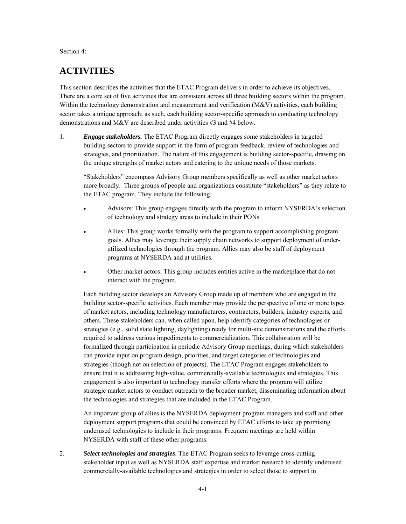Section 4:

## **ACTIVITIES**

This section describes the activities that the ETAC Program delivers in order to achieve its objectives. There are a core set of five activities that are consistent across all three building sectors within the program. Within the technology demonstration and measurement and verification (M&V) activities, each building sector takes a unique approach; as such, each building sector-specific approach to conducting technology demonstrations and M&V are described under activities #3 and #4 below.

 strategies, and prioritization. The nature of this engagement is building sector-specific, drawing on 1. *Engage stakeholders.* The ETAC Program directly engages some stakeholders in targeted building sectors to provide support in the form of program feedback, review of technologies and the unique strengths of market actors and catering to the unique needs of those markets.

"Stakeholders" encompass Advisory Group members specifically as well as other market actors more broadly. Three groups of people and organizations constitute "stakeholders" as they relate to the ETAC program. They include the following:

- Advisors: This group engages directly with the program to inform NYSERDA's selection of technology and strategy areas to include in their PONs
- Allies: This group works formally with the program to support accomplishing program goals. Allies may leverage their supply chain networks to support deployment of underutilized technologies through the program. Allies may also be staff of deployment programs at NYSERDA and at utilities.
- Other market actors: This group includes entities active in the marketplace that do not interact with the program.

 required to address various impediments to commercialization. This collaboration will be can provide input on program design, priorities, and target categories of technologies and strategies (though not on selection of projects). The ETAC Program engages stakeholders to the technologies and strategies that are included in the ETAC Program. Each building sector develops an Advisory Group made up of members who are engaged in the building sector-specific activities. Each member may provide the perspective of one or more types of market actors, including technology manufacturers, contractors, builders, industry experts, and others. These stakeholders can, when called upon, help identify categories of technologies or strategies (e.g., solid state lighting, daylighting) ready for multi-site demonstrations and the efforts formalized through participation in periodic Advisory Group meetings, during which stakeholders ensure that it is addressing high-value, commercially-available technologies and strategies. This engagement is also important to technology transfer efforts where the program will utilize strategic market actors to conduct outreach to the broader market, disseminating information about

the technologies and strategies that are included in the ETAC Program.<br>An important group of allies is the NYSERDA deployment program managers and staff and other deployment support programs that could be convinced by ETAC efforts to take up promising underused technologies to include in their programs. Frequent meetings are held within NYSERDA with staff of these other programs.

2. *Select technologies and strategies*. The ETAC Program seeks to leverage cross-cutting stakeholder input as well as NYSERDA staff expertise and market research to identify underused commercially-available technologies and strategies in order to select those to support in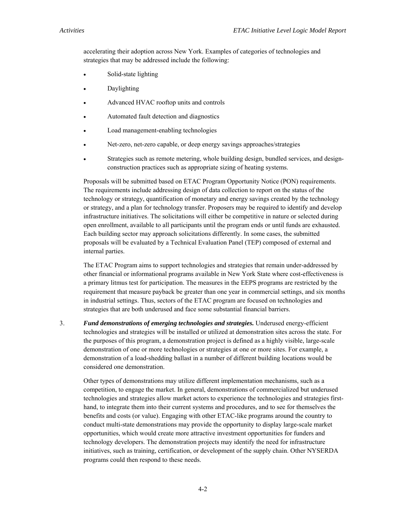accelerating their adoption across New York. Examples of categories of technologies and strategies that may be addressed include the following:

- Solid-state lighting
- Daylighting
- Advanced HVAC rooftop units and controls
- Automated fault detection and diagnostics
- Load management-enabling technologies
- Net-zero, net-zero capable, or deep energy savings approaches/strategies
- Strategies such as remote metering, whole building design, bundled services, and designconstruction practices such as appropriate sizing of heating systems.

 The requirements include addressing design of data collection to report on the status of the Each building sector may approach solicitations differently. In some cases, the submitted Proposals will be submitted based on ETAC Program Opportunity Notice (PON) requirements. technology or strategy, quantification of monetary and energy savings created by the technology or strategy, and a plan for technology transfer. Proposers may be required to identify and develop infrastructure initiatives. The solicitations will either be competitive in nature or selected during open enrollment, available to all participants until the program ends or until funds are exhausted. proposals will be evaluated by a Technical Evaluation Panel (TEP) composed of external and internal parties.

The ETAC Program aims to support technologies and strategies that remain under-addressed by other financial or informational programs available in New York State where cost-effectiveness is a primary litmus test for participation. The measures in the EEPS programs are restricted by the requirement that measure payback be greater than one year in commercial settings, and six months in industrial settings. Thus, sectors of the ETAC program are focused on technologies and strategies that are both underused and face some substantial financial barriers.

 demonstration of a load-shedding ballast in a number of different building locations would be 3. *Fund demonstrations of emerging technologies and strategies.* Underused energy-efficient technologies and strategies will be installed or utilized at demonstration sites across the state. For the purposes of this program, a demonstration project is defined as a highly visible, large-scale demonstration of one or more technologies or strategies at one or more sites. For example, a considered one demonstration.

 programs could then respond to these needs. Other types of demonstrations may utilize different implementation mechanisms, such as a competition, to engage the market. In general, demonstrations of commercialized but underused technologies and strategies allow market actors to experience the technologies and strategies firsthand, to integrate them into their current systems and procedures, and to see for themselves the benefits and costs (or value). Engaging with other ETAC-like programs around the country to conduct multi-state demonstrations may provide the opportunity to display large-scale market opportunities, which would create more attractive investment opportunities for funders and technology developers. The demonstration projects may identify the need for infrastructure initiatives, such as training, certification, or development of the supply chain. Other NYSERDA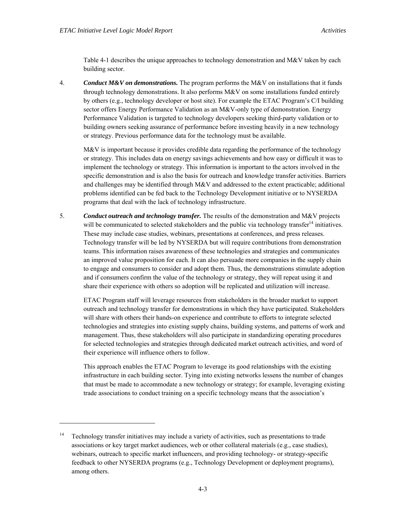-

Table 4-1 describes the unique approaches to technology demonstration and M&V taken by each building sector.

 Performance Validation is targeted to technology developers seeking third-party validation or to 4. *Conduct M&V on demonstrations.* The program performs the M&V on installations that it funds through technology demonstrations. It also performs M&V on some installations funded entirely by others (e.g., technology developer or host site). For example the ETAC Program's C/I building sector offers Energy Performance Validation as an M&V-only type of demonstration. Energy building owners seeking assurance of performance before investing heavily in a new technology or strategy. Previous performance data for the technology must be available.

 problems identified can be fed back to the Technology Development initiative or to NYSERDA M&V is important because it provides credible data regarding the performance of the technology or strategy. This includes data on energy savings achievements and how easy or difficult it was to implement the technology or strategy. This information is important to the actors involved in the specific demonstration and is also the basis for outreach and knowledge transfer activities. Barriers and challenges may be identified through M&V and addressed to the extent practicable; additional programs that deal with the lack of technology infrastructure.

 an improved value proposition for each. It can also persuade more companies in the supply chain 5. *Conduct outreach and technology transfer.* The results of the demonstration and M&V projects will be communicated to selected stakeholders and the public via technology transfer<sup>14</sup> initiatives. These may include case studies, webinars, presentations at conferences, and press releases. Technology transfer will be led by NYSERDA but will require contributions from demonstration teams. This information raises awareness of these technologies and strategies and communicates to engage and consumers to consider and adopt them. Thus, the demonstrations stimulate adoption and if consumers confirm the value of the technology or strategy, they will repeat using it and share their experience with others so adoption will be replicated and utilization will increase.

ETAC Program staff will leverage resources from stakeholders in the broader market to support outreach and technology transfer for demonstrations in which they have participated. Stakeholders will share with others their hands-on experience and contribute to efforts to integrate selected technologies and strategies into existing supply chains, building systems, and patterns of work and management. Thus, these stakeholders will also participate in standardizing operating procedures for selected technologies and strategies through dedicated market outreach activities, and word of their experience will influence others to follow.

This approach enables the ETAC Program to leverage its good relationships with the existing infrastructure in each building sector. Tying into existing networks lessens the number of changes that must be made to accommodate a new technology or strategy; for example, leveraging existing trade associations to conduct training on a specific technology means that the association's

 $14$ Technology transfer initiatives may include a variety of activities, such as presentations to trade associations or key target market audiences, web or other collateral materials (e.g., case studies), webinars, outreach to specific market influencers, and providing technology- or strategy-specific feedback to other NYSERDA programs (e.g., Technology Development or deployment programs), among others.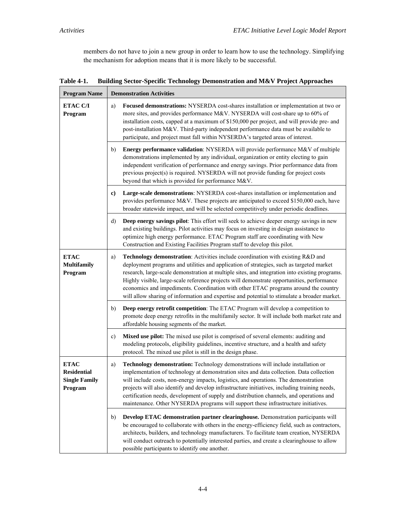members do not have to join a new group in order to learn how to use the technology. Simplifying the mechanism for adoption means that it is more likely to be successful.

| <b>Program Name</b>                                                  | <b>Demonstration Activities</b>                                                                                                                                                                                                                                                                                                                                                                                                                                                                                                                                          |  |  |
|----------------------------------------------------------------------|--------------------------------------------------------------------------------------------------------------------------------------------------------------------------------------------------------------------------------------------------------------------------------------------------------------------------------------------------------------------------------------------------------------------------------------------------------------------------------------------------------------------------------------------------------------------------|--|--|
| <b>ETAC C/I</b><br>Program                                           | Focused demonstrations: NYSERDA cost-shares installation or implementation at two or<br>a)<br>more sites, and provides performance M&V. NYSERDA will cost-share up to 60% of<br>installation costs, capped at a maximum of \$150,000 per project, and will provide pre- and<br>post-installation M&V. Third-party independent performance data must be available to<br>participate, and project must fall within NYSERDA's targeted areas of interest.                                                                                                                   |  |  |
|                                                                      | Energy performance validation: NYSERDA will provide performance M&V of multiple<br>b)<br>demonstrations implemented by any individual, organization or entity electing to gain<br>independent verification of performance and energy savings. Prior performance data from<br>previous project(s) is required. NYSERDA will not provide funding for project costs<br>beyond that which is provided for performance M&V.                                                                                                                                                   |  |  |
|                                                                      | Large-scale demonstrations: NYSERDA cost-shares installation or implementation and<br>c)<br>provides performance M&V. These projects are anticipated to exceed \$150,000 each, have<br>broader statewide impact, and will be selected competitively under periodic deadlines.                                                                                                                                                                                                                                                                                            |  |  |
|                                                                      | Deep energy savings pilot: This effort will seek to achieve deeper energy savings in new<br>d)<br>and existing buildings. Pilot activities may focus on investing in design assistance to<br>optimize high energy performance. ETAC Program staff are coordinating with New<br>Construction and Existing Facilities Program staff to develop this pilot.                                                                                                                                                                                                                 |  |  |
| <b>ETAC</b><br><b>Multifamily</b><br>Program                         | Technology demonstration: Activities include coordination with existing R&D and<br>a)<br>deployment programs and utilities and application of strategies, such as targeted market<br>research, large-scale demonstration at multiple sites, and integration into existing programs.<br>Highly visible, large-scale reference projects will demonstrate opportunities, performance<br>economics and impediments. Coordination with other ETAC programs around the country<br>will allow sharing of information and expertise and potential to stimulate a broader market. |  |  |
|                                                                      | Deep energy retrofit competition: The ETAC Program will develop a competition to<br>b)<br>promote deep energy retrofits in the multifamily sector. It will include both market rate and<br>affordable housing segments of the market.                                                                                                                                                                                                                                                                                                                                    |  |  |
|                                                                      | Mixed use pilot: The mixed use pilot is comprised of several elements: auditing and<br>c)<br>modeling protocols, eligibility guidelines, incentive structure, and a health and safety<br>protocol. The mixed use pilot is still in the design phase.                                                                                                                                                                                                                                                                                                                     |  |  |
| <b>ETAC</b><br><b>Residential</b><br><b>Single Family</b><br>Program | Technology demonstration: Technology demonstrations will include installation or<br>a)<br>implementation of technology at demonstration sites and data collection. Data collection<br>will include costs, non-energy impacts, logistics, and operations. The demonstration<br>projects will also identify and develop infrastructure initiatives, including training needs,<br>certification needs, development of supply and distribution channels, and operations and<br>maintenance. Other NYSERDA programs will support these infrastructure initiatives.            |  |  |
|                                                                      | Develop ETAC demonstration partner clearinghouse. Demonstration participants will<br>b)<br>be encouraged to collaborate with others in the energy-efficiency field, such as contractors,<br>architects, builders, and technology manufacturers. To facilitate team creation, NYSERDA<br>will conduct outreach to potentially interested parties, and create a clearinghouse to allow<br>possible participants to identify one another.                                                                                                                                   |  |  |

**Table 4-1. Building Sector-Specific Technology Demonstration and M&V Project Approaches**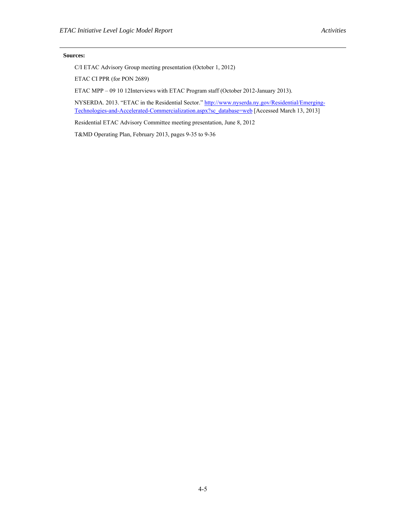#### **Sources:**

C/I ETAC Advisory Group meeting presentation (October 1, 2012)

ETAC CI PPR (for PON 2689)

ETAC MPP – 09 10 12Interviews with ETAC Program staff (October 2012-January 2013).

NYSERDA. 2013. "ETAC in the Residential Sector." http://www.nyserda.ny.gov/Residential/Emerging-Technologies-and-Accelerated-Commercialization.aspx?sc\_database=web [Accessed March 13, 2013]

Residential ETAC Advisory Committee meeting presentation, June 8, 2012

T&MD Operating Plan, February 2013, pages 9-35 to 9-36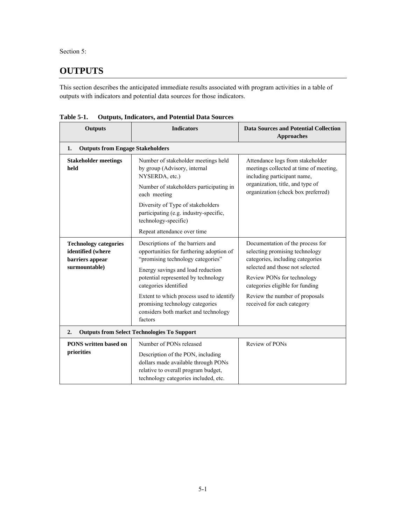Section 5:

# **OUTPUTS**

 This section describes the anticipated immediate results associated with program activities in a table of outputs with indicators and potential data sources for those indicators.

| <b>Outputs</b>                                                                        | <b>Indicators</b>                                                                                                                                                                                                      | <b>Data Sources and Potential Collection</b><br><b>Approaches</b>                                                                                                                                          |  |  |
|---------------------------------------------------------------------------------------|------------------------------------------------------------------------------------------------------------------------------------------------------------------------------------------------------------------------|------------------------------------------------------------------------------------------------------------------------------------------------------------------------------------------------------------|--|--|
| <b>Outputs from Engage Stakeholders</b><br>1.                                         |                                                                                                                                                                                                                        |                                                                                                                                                                                                            |  |  |
| <b>Stakeholder meetings</b><br>held                                                   | Number of stakeholder meetings held<br>by group (Advisory, internal<br>NYSERDA, etc.)                                                                                                                                  | Attendance logs from stakeholder<br>meetings collected at time of meeting,<br>including participant name,                                                                                                  |  |  |
|                                                                                       | Number of stakeholders participating in<br>each meeting                                                                                                                                                                | organization, title, and type of<br>organization (check box preferred)                                                                                                                                     |  |  |
|                                                                                       | Diversity of Type of stakeholders<br>participating (e.g. industry-specific,<br>technology-specific)                                                                                                                    |                                                                                                                                                                                                            |  |  |
|                                                                                       | Repeat attendance over time                                                                                                                                                                                            |                                                                                                                                                                                                            |  |  |
| <b>Technology categories</b><br>identified (where<br>barriers appear<br>surmountable) | Descriptions of the barriers and<br>opportunities for furthering adoption of<br>"promising technology categories"<br>Energy savings and load reduction<br>potential represented by technology<br>categories identified | Documentation of the process for<br>selecting promising technology<br>categories, including categories<br>selected and those not selected<br>Review PONs for technology<br>categories eligible for funding |  |  |
|                                                                                       | Extent to which process used to identify<br>promising technology categories<br>considers both market and technology<br>factors                                                                                         | Review the number of proposals<br>received for each category                                                                                                                                               |  |  |
| 2.<br><b>Outputs from Select Technologies To Support</b>                              |                                                                                                                                                                                                                        |                                                                                                                                                                                                            |  |  |
| <b>PONS</b> written based on<br>priorities                                            | Number of PONs released<br>Description of the PON, including<br>dollars made available through PONs<br>relative to overall program budget,<br>technology categories included, etc.                                     | Review of PONs                                                                                                                                                                                             |  |  |

**Table 5-1. Outputs, Indicators, and Potential Data Sources**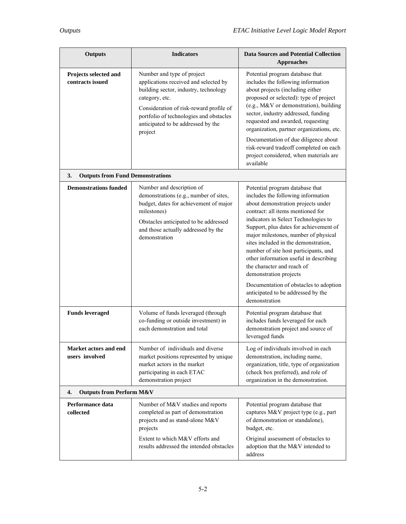| <b>Outputs</b>                                | <b>Indicators</b>                                                                                                                                                                                                                                                     | <b>Data Sources and Potential Collection</b>                                                                                                                                                                                                                                                                                                                                                                                                                                                                                                                   |
|-----------------------------------------------|-----------------------------------------------------------------------------------------------------------------------------------------------------------------------------------------------------------------------------------------------------------------------|----------------------------------------------------------------------------------------------------------------------------------------------------------------------------------------------------------------------------------------------------------------------------------------------------------------------------------------------------------------------------------------------------------------------------------------------------------------------------------------------------------------------------------------------------------------|
|                                               |                                                                                                                                                                                                                                                                       | <b>Approaches</b>                                                                                                                                                                                                                                                                                                                                                                                                                                                                                                                                              |
| Projects selected and<br>contracts issued     | Number and type of project<br>applications received and selected by<br>building sector, industry, technology<br>category, etc.<br>Consideration of risk-reward profile of<br>portfolio of technologies and obstacles<br>anticipated to be addressed by the<br>project | Potential program database that<br>includes the following information<br>about projects (including either<br>proposed or selected): type of project<br>(e.g., M&V or demonstration), building<br>sector, industry addressed, funding<br>requested and awarded, requesting<br>organization, partner organizations, etc.<br>Documentation of due diligence about<br>risk-reward tradeoff completed on each<br>project considered, when materials are<br>available                                                                                                |
| <b>Outputs from Fund Demonstrations</b><br>3. |                                                                                                                                                                                                                                                                       |                                                                                                                                                                                                                                                                                                                                                                                                                                                                                                                                                                |
| <b>Demonstrations funded</b>                  | Number and description of<br>demonstrations (e.g., number of sites,<br>budget, dates for achievement of major<br>milestones)<br>Obstacles anticipated to be addressed<br>and those actually addressed by the<br>demonstration                                         | Potential program database that<br>includes the following information<br>about demonstration projects under<br>contract: all items mentioned for<br>indicators in Select Technologies to<br>Support, plus dates for achievement of<br>major milestones, number of physical<br>sites included in the demonstration,<br>number of site host participants, and<br>other information useful in describing<br>the character and reach of<br>demonstration projects<br>Documentation of obstacles to adoption<br>anticipated to be addressed by the<br>demonstration |
| <b>Funds leveraged</b>                        | Volume of funds leveraged (through<br>co-funding or outside investment) in<br>each demonstration and total                                                                                                                                                            | Potential program database that<br>includes funds leveraged for each<br>demonstration project and source of<br>leveraged funds                                                                                                                                                                                                                                                                                                                                                                                                                                 |
| Market actors and end<br>users involved       | Number of individuals and diverse<br>market positions represented by unique<br>market actors in the market<br>participating in each ETAC<br>demonstration project                                                                                                     | Log of individuals involved in each<br>demonstration, including name,<br>organization, title, type of organization<br>(check box preferred), and role of<br>organization in the demonstration.                                                                                                                                                                                                                                                                                                                                                                 |
| 4.<br><b>Outputs from Perform M&amp;V</b>     |                                                                                                                                                                                                                                                                       |                                                                                                                                                                                                                                                                                                                                                                                                                                                                                                                                                                |
| Performance data<br>collected                 | Number of M&V studies and reports<br>completed as part of demonstration<br>projects and as stand-alone M&V<br>projects<br>Extent to which M&V efforts and<br>results addressed the intended obstacles                                                                 | Potential program database that<br>captures M&V project type (e.g., part<br>of demonstration or standalone),<br>budget, etc.<br>Original assessment of obstacles to                                                                                                                                                                                                                                                                                                                                                                                            |
|                                               |                                                                                                                                                                                                                                                                       | adoption that the M&V intended to<br>address                                                                                                                                                                                                                                                                                                                                                                                                                                                                                                                   |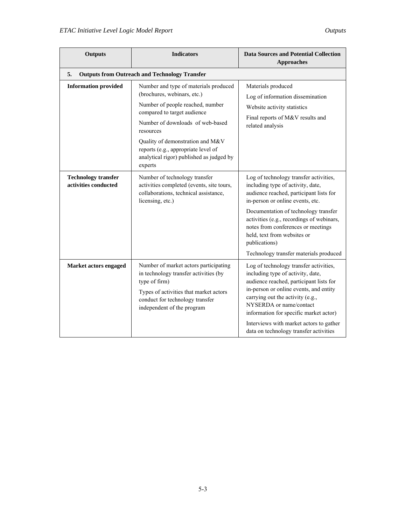| <b>Outputs</b>                                     | <b>Indicators</b>                                                                                                                                                                                                                                                                                                          | <b>Data Sources and Potential Collection</b><br><b>Approaches</b>                                                                                                                                                                                                                                                                                                               |
|----------------------------------------------------|----------------------------------------------------------------------------------------------------------------------------------------------------------------------------------------------------------------------------------------------------------------------------------------------------------------------------|---------------------------------------------------------------------------------------------------------------------------------------------------------------------------------------------------------------------------------------------------------------------------------------------------------------------------------------------------------------------------------|
| 5.                                                 | <b>Outputs from Outreach and Technology Transfer</b>                                                                                                                                                                                                                                                                       |                                                                                                                                                                                                                                                                                                                                                                                 |
| <b>Information provided</b>                        | Number and type of materials produced<br>(brochures, webinars, etc.)<br>Number of people reached, number<br>compared to target audience<br>Number of downloads of web-based<br>resources<br>Quality of demonstration and M&V<br>reports (e.g., appropriate level of<br>analytical rigor) published as judged by<br>experts | Materials produced<br>Log of information dissemination<br>Website activity statistics<br>Final reports of M&V results and<br>related analysis                                                                                                                                                                                                                                   |
| <b>Technology transfer</b><br>activities conducted | Number of technology transfer<br>activities completed (events, site tours,<br>collaborations, technical assistance,<br>licensing, etc.)                                                                                                                                                                                    | Log of technology transfer activities,<br>including type of activity, date,<br>audience reached, participant lists for<br>in-person or online events, etc.<br>Documentation of technology transfer<br>activities (e.g., recordings of webinars,<br>notes from conferences or meetings<br>held, text from websites or<br>publications)<br>Technology transfer materials produced |
| Market actors engaged                              | Number of market actors participating<br>in technology transfer activities (by<br>type of firm)<br>Types of activities that market actors<br>conduct for technology transfer<br>independent of the program                                                                                                                 | Log of technology transfer activities,<br>including type of activity, date,<br>audience reached, participant lists for<br>in-person or online events, and entity<br>carrying out the activity (e.g.,<br>NYSERDA or name/contact<br>information for specific market actor)<br>Interviews with market actors to gather<br>data on technology transfer activities                  |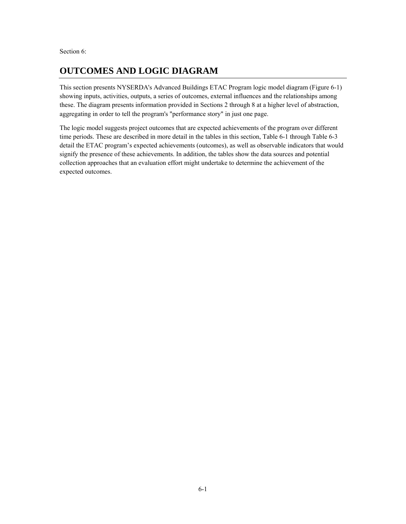Section 6:

## **OUTCOMES AND LOGIC DIAGRAM**

This section presents NYSERDA's Advanced Buildings ETAC Program logic model diagram (Figure 6-1) showing inputs, activities, outputs, a series of outcomes, external influences and the relationships among these. The diagram presents information provided in Sections 2 through 8 at a higher level of abstraction, aggregating in order to tell the program's "performance story" in just one page.

The logic model suggests project outcomes that are expected achievements of the program over different time periods. These are described in more detail in the tables in this section, Table 6-1 through Table 6-3 detail the ETAC program's expected achievements (outcomes), as well as observable indicators that would signify the presence of these achievements. In addition, the tables show the data sources and potential collection approaches that an evaluation effort might undertake to determine the achievement of the expected outcomes.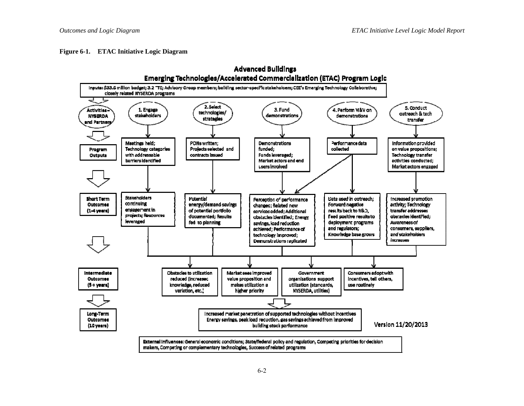**Figure 6-1. ETAC Initiative Logic Diagram** 

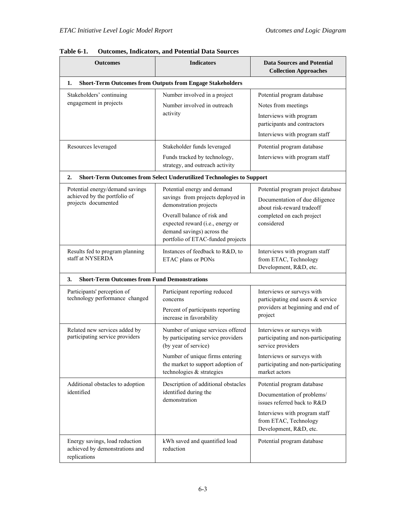| <b>Outcomes</b>                                                                        | <b>Indicators</b>                                                                                                                                                                                                                | <b>Data Sources and Potential</b><br><b>Collection Approaches</b>                                                                                                            |  |  |
|----------------------------------------------------------------------------------------|----------------------------------------------------------------------------------------------------------------------------------------------------------------------------------------------------------------------------------|------------------------------------------------------------------------------------------------------------------------------------------------------------------------------|--|--|
| <b>Short-Term Outcomes from Outputs from Engage Stakeholders</b><br>1.                 |                                                                                                                                                                                                                                  |                                                                                                                                                                              |  |  |
| Stakeholders' continuing<br>engagement in projects                                     | Number involved in a project<br>Number involved in outreach<br>activity                                                                                                                                                          | Potential program database<br>Notes from meetings<br>Interviews with program<br>participants and contractors<br>Interviews with program staff                                |  |  |
| Resources leveraged                                                                    | Stakeholder funds leveraged<br>Funds tracked by technology,<br>strategy, and outreach activity                                                                                                                                   | Potential program database<br>Interviews with program staff                                                                                                                  |  |  |
| 2.                                                                                     | Short-Term Outcomes from Select Underutilized Technologies to Support                                                                                                                                                            |                                                                                                                                                                              |  |  |
| Potential energy/demand savings<br>achieved by the portfolio of<br>projects documented | Potential energy and demand<br>savings from projects deployed in<br>demonstration projects<br>Overall balance of risk and<br>expected reward (i.e., energy or<br>demand savings) across the<br>portfolio of ETAC-funded projects | Potential program project database<br>Documentation of due diligence<br>about risk-reward tradeoff<br>completed on each project<br>considered                                |  |  |
| Results fed to program planning<br>staff at NYSERDA                                    | Instances of feedback to R&D, to<br>ETAC plans or PONs                                                                                                                                                                           | Interviews with program staff<br>from ETAC, Technology<br>Development, R&D, etc.                                                                                             |  |  |
| <b>Short-Term Outcomes from Fund Demonstrations</b><br>3.                              |                                                                                                                                                                                                                                  |                                                                                                                                                                              |  |  |
| Participants' perception of<br>technology performance changed                          | Participant reporting reduced<br>concerns<br>Percent of participants reporting<br>increase in favorability                                                                                                                       | Interviews or surveys with<br>participating end users & service<br>providers at beginning and end of<br>project                                                              |  |  |
| Related new services added by<br>participating service providers                       | Number of unique services offered<br>by participating service providers<br>(by year of service)<br>Number of unique firms entering<br>the market to support adoption of<br>technologies & strategies                             | Interviews or surveys with<br>participating and non-participating<br>service providers<br>Interviews or surveys with<br>participating and non-participating<br>market actors |  |  |
| Additional obstacles to adoption<br>identified                                         | Description of additional obstacles<br>identified during the<br>demonstration                                                                                                                                                    | Potential program database<br>Documentation of problems/<br>issues referred back to R&D<br>Interviews with program staff<br>from ETAC, Technology<br>Development, R&D, etc.  |  |  |
| Energy savings, load reduction<br>achieved by demonstrations and<br>replications       | kWh saved and quantified load<br>reduction                                                                                                                                                                                       | Potential program database                                                                                                                                                   |  |  |

**Table 6-1. Outcomes, Indicators, and Potential Data Sources**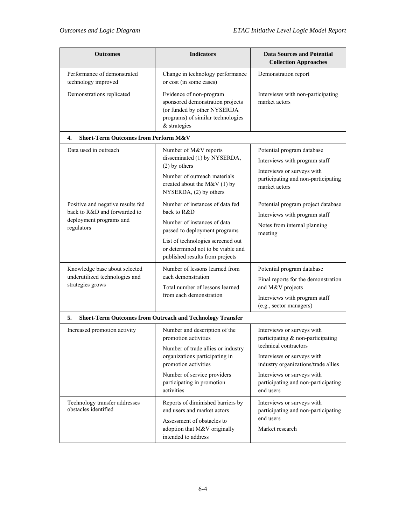| <b>Outcomes</b>                                                                                            | <b>Indicators</b>                                                                                                                                                                                                                | <b>Data Sources and Potential</b><br><b>Collection Approaches</b>                                                                                                                                                                               |  |
|------------------------------------------------------------------------------------------------------------|----------------------------------------------------------------------------------------------------------------------------------------------------------------------------------------------------------------------------------|-------------------------------------------------------------------------------------------------------------------------------------------------------------------------------------------------------------------------------------------------|--|
| Performance of demonstrated<br>technology improved                                                         | Change in technology performance<br>or cost (in some cases)                                                                                                                                                                      | Demonstration report                                                                                                                                                                                                                            |  |
| Demonstrations replicated                                                                                  | Evidence of non-program<br>sponsored demonstration projects<br>(or funded by other NYSERDA<br>programs) of similar technologies<br>& strategies                                                                                  | Interviews with non-participating<br>market actors                                                                                                                                                                                              |  |
| <b>Short-Term Outcomes from Perform M&amp;V</b><br>4.                                                      |                                                                                                                                                                                                                                  |                                                                                                                                                                                                                                                 |  |
| Data used in outreach                                                                                      | Number of M&V reports<br>disseminated (1) by NYSERDA,<br>$(2)$ by others<br>Number of outreach materials<br>created about the M&V $(1)$ by<br>NYSERDA, (2) by others                                                             | Potential program database<br>Interviews with program staff<br>Interviews or surveys with<br>participating and non-participating<br>market actors                                                                                               |  |
| Positive and negative results fed<br>back to R&D and forwarded to<br>deployment programs and<br>regulators | Number of instances of data fed<br>back to R&D<br>Number of instances of data<br>passed to deployment programs<br>List of technologies screened out<br>or determined not to be viable and<br>published results from projects     | Potential program project database<br>Interviews with program staff<br>Notes from internal planning<br>meeting                                                                                                                                  |  |
| Knowledge base about selected<br>underutilized technologies and<br>strategies grows                        | Number of lessons learned from<br>each demonstration<br>Total number of lessons learned<br>from each demonstration                                                                                                               | Potential program database<br>Final reports for the demonstration<br>and M&V projects<br>Interviews with program staff<br>(e.g., sector managers)                                                                                               |  |
| <b>Short-Term Outcomes from Outreach and Technology Transfer</b><br>5.                                     |                                                                                                                                                                                                                                  |                                                                                                                                                                                                                                                 |  |
| Increased promotion activity                                                                               | Number and description of the<br>promotion activities<br>Number of trade allies or industry<br>organizations participating in<br>promotion activities<br>Number of service providers<br>participating in promotion<br>activities | Interviews or surveys with<br>participating & non-participating<br>technical contractors<br>Interviews or surveys with<br>industry organizations/trade allies<br>Interviews or surveys with<br>participating and non-participating<br>end users |  |
| Technology transfer addresses<br>obstacles identified                                                      | Reports of diminished barriers by<br>end users and market actors<br>Assessment of obstacles to<br>adoption that M&V originally<br>intended to address                                                                            | Interviews or surveys with<br>participating and non-participating<br>end users<br>Market research                                                                                                                                               |  |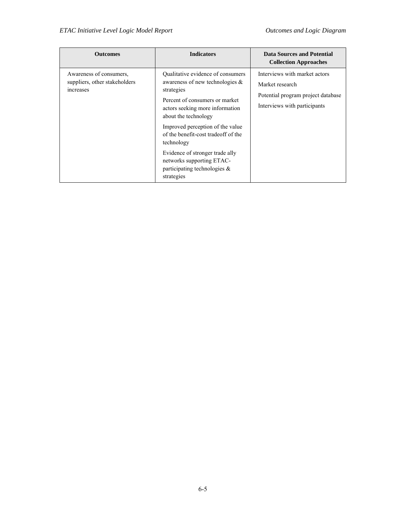| <b>Outcomes</b>                                                       | <b>Indicators</b>                                                                                                                                                                                                                                                                                                                                                                            | <b>Data Sources and Potential</b><br><b>Collection Approaches</b>                                                      |
|-----------------------------------------------------------------------|----------------------------------------------------------------------------------------------------------------------------------------------------------------------------------------------------------------------------------------------------------------------------------------------------------------------------------------------------------------------------------------------|------------------------------------------------------------------------------------------------------------------------|
| Awareness of consumers.<br>suppliers, other stakeholders<br>increases | Qualitative evidence of consumers<br>awareness of new technologies $\&$<br>strategies<br>Percent of consumers or market<br>actors seeking more information<br>about the technology<br>Improved perception of the value<br>of the benefit-cost tradeoff of the<br>technology<br>Evidence of stronger trade ally<br>networks supporting ETAC-<br>participating technologies $\&$<br>strategies | Interviews with market actors<br>Market research<br>Potential program project database<br>Interviews with participants |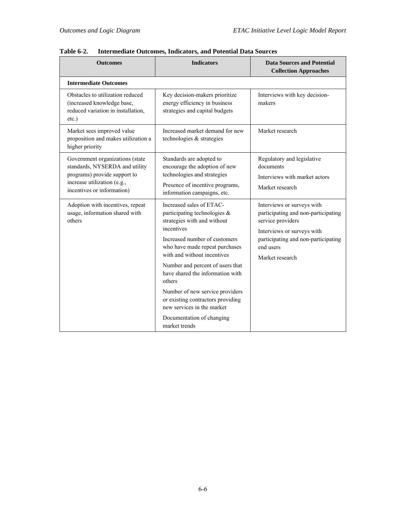| <b>Outcomes</b>                                                                                                                                                | <b>Indicators</b>                                                                                                                                                                                                                                                                                                                                                                                                                                | <b>Data Sources and Potential</b><br><b>Collection Approaches</b>                                                                                                                           |
|----------------------------------------------------------------------------------------------------------------------------------------------------------------|--------------------------------------------------------------------------------------------------------------------------------------------------------------------------------------------------------------------------------------------------------------------------------------------------------------------------------------------------------------------------------------------------------------------------------------------------|---------------------------------------------------------------------------------------------------------------------------------------------------------------------------------------------|
| <b>Intermediate Outcomes</b>                                                                                                                                   |                                                                                                                                                                                                                                                                                                                                                                                                                                                  |                                                                                                                                                                                             |
| Obstacles to utilization reduced<br>(increased knowledge base,<br>reduced variation in installation,<br>$etc.$ )                                               | Key decision-makers prioritize<br>energy efficiency in business<br>strategies and capital budgets                                                                                                                                                                                                                                                                                                                                                | Interviews with key decision-<br>makers                                                                                                                                                     |
| Market sees improved value<br>proposition and makes utilization a<br>higher priority                                                                           | Increased market demand for new<br>technologies & strategies                                                                                                                                                                                                                                                                                                                                                                                     | Market research                                                                                                                                                                             |
| Government organizations (state<br>standards, NYSERDA and utility<br>programs) provide support to<br>increase utilization (e.g.,<br>incentives or information) | Standards are adopted to<br>encourage the adoption of new<br>technologies and strategies<br>Presence of incentive programs,<br>information campaigns, etc.                                                                                                                                                                                                                                                                                       | Regulatory and legislative<br>documents<br>Interviews with market actors<br>Market research                                                                                                 |
| Adoption with incentives, repeat<br>usage, information shared with<br>others                                                                                   | Increased sales of ETAC-<br>participating technologies $\&$<br>strategies with and without<br>incentives<br>Increased number of customers<br>who have made repeat purchases<br>with and without incentives<br>Number and percent of users that<br>have shared the information with<br>others<br>Number of new service providers<br>or existing contractors providing<br>new services in the market<br>Documentation of changing<br>market trends | Interviews or surveys with<br>participating and non-participating<br>service providers<br>Interviews or surveys with<br>participating and non-participating<br>end users<br>Market research |

**Table 6-2. Intermediate Outcomes, Indicators, and Potential Data Sources**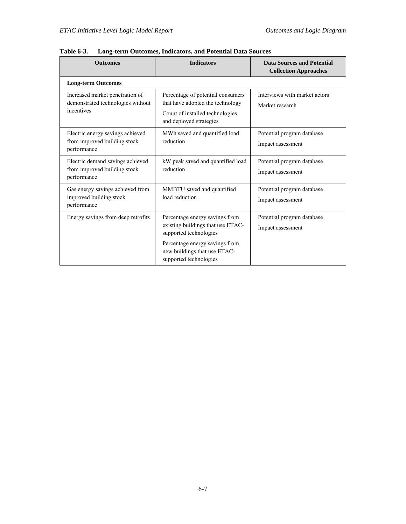| <b>Outcomes</b>                                                                    | <b>Indicators</b>                                                                                                                   | <b>Data Sources and Potential</b><br><b>Collection Approaches</b> |
|------------------------------------------------------------------------------------|-------------------------------------------------------------------------------------------------------------------------------------|-------------------------------------------------------------------|
| <b>Long-term Outcomes</b>                                                          |                                                                                                                                     |                                                                   |
| Increased market penetration of<br>demonstrated technologies without<br>incentives | Percentage of potential consumers<br>that have adopted the technology<br>Count of installed technologies<br>and deployed strategies | Interviews with market actors<br>Market research                  |
| Electric energy savings achieved<br>from improved building stock<br>performance    | MWh saved and quantified load<br>reduction                                                                                          | Potential program database<br>Impact assessment                   |
| Electric demand savings achieved<br>from improved building stock<br>performance    | kW peak saved and quantified load<br>reduction                                                                                      | Potential program database<br>Impact assessment                   |
| Gas energy savings achieved from<br>improved building stock<br>performance         | MMBTU saved and quantified<br>load reduction                                                                                        | Potential program database<br>Impact assessment                   |
| Energy savings from deep retrofits                                                 | Percentage energy savings from<br>existing buildings that use ETAC-<br>supported technologies<br>Percentage energy savings from     | Potential program database<br>Impact assessment                   |
|                                                                                    | new buildings that use ETAC-<br>supported technologies                                                                              |                                                                   |

**Table 6-3. Long-term Outcomes, Indicators, and Potential Data Sources**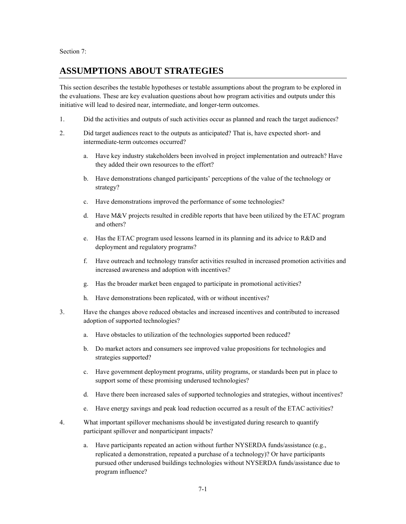Section 7:

## **ASSUMPTIONS ABOUT STRATEGIES**

 This section describes the testable hypotheses or testable assumptions about the program to be explored in the evaluations. These are key evaluation questions about how program activities and outputs under this initiative will lead to desired near, intermediate, and longer-term outcomes.

- 1. Did the activities and outputs of such activities occur as planned and reach the target audiences?
- 2. Did target audiences react to the outputs as anticipated? That is, have expected short- and intermediate-term outcomes occurred?
	- a. Have key industry stakeholders been involved in project implementation and outreach? Have they added their own resources to the effort?
	- b. Have demonstrations changed participants' perceptions of the value of the technology or strategy?
	- c. Have demonstrations improved the performance of some technologies?
	- d. Have M&V projects resulted in credible reports that have been utilized by the ETAC program and others?
	- e. Has the ETAC program used lessons learned in its planning and its advice to R&D and deployment and regulatory programs?
	- f. Have outreach and technology transfer activities resulted in increased promotion activities and increased awareness and adoption with incentives?
	- g. Has the broader market been engaged to participate in promotional activities?
	- h. Have demonstrations been replicated, with or without incentives?
- 3. Have the changes above reduced obstacles and increased incentives and contributed to increased adoption of supported technologies?
	- a. Have obstacles to utilization of the technologies supported been reduced?
	- b. Do market actors and consumers see improved value propositions for technologies and strategies supported?
	- c. Have government deployment programs, utility programs, or standards been put in place to support some of these promising underused technologies?
	- d. Have there been increased sales of supported technologies and strategies, without incentives?
	- e. Have energy savings and peak load reduction occurred as a result of the ETAC activities?
- 4. What important spillover mechanisms should be investigated during research to quantify participant spillover and nonparticipant impacts?
	- replicated a demonstration, repeated a purchase of a technology)? Or have participants a. Have participants repeated an action without further NYSERDA funds/assistance (e.g., pursued other underused buildings technologies without NYSERDA funds/assistance due to program influence?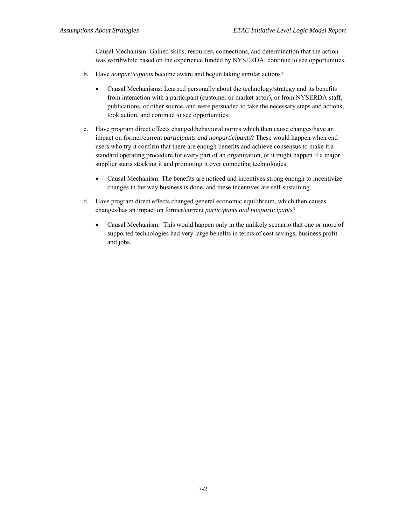Causal Mechanism: Gained skills, resources, connections, and determination that the action was worthwhile based on the experience funded by NYSERDA; continue to see opportunities.

- b. Have *nonparticipants* become aware and begun taking similar actions?
	- Causal Mechanisms: Learned personally about the technology/strategy and its benefits from interaction with a participant (customer or market actor), or from NYSERDA staff, publications, or other source, and were persuaded to take the necessary steps and actions; took action, and continue to see opportunities.
- standard operating procedure for every part of an organization, or it might happen if a major c. Have program direct effects changed behavioral norms which then cause changes/have an impact on former/current *participants and nonparticipants*? These would happen when end users who try it confirm that there are enough benefits and achieve consensus to make it a supplier starts stocking it and promoting it over competing technologies.
	- Causal Mechanism: The benefits are noticed and incentives strong enough to incentivize changes in the way business is done, and these incentives are self-sustaining.
- d. Have program direct effects changed general economic equilibrium, which then causes changes/has an impact on former/current *participants and nonparticipants*?
- and jobs. Causal Mechanism: This would happen only in the unlikely scenario that one or more of supported technologies had very large benefits in terms of cost savings, business profit and jobs.<br>
The same of the same of the same of the same of the same of the same of the same of the same of the<br>
T-2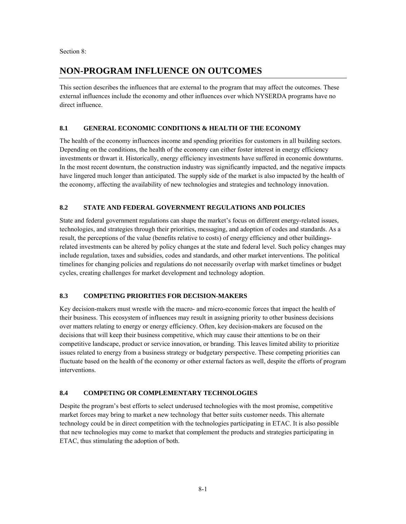Section 8:

## **NON-PROGRAM INFLUENCE ON OUTCOMES**

This section describes the influences that are external to the program that may affect the outcomes. These external influences include the economy and other influences over which NYSERDA programs have no direct influence.

### **8.1 GENERAL ECONOMIC CONDITIONS & HEALTH OF THE ECONOMY**

The health of the economy influences income and spending priorities for customers in all building sectors. Depending on the conditions, the health of the economy can either foster interest in energy efficiency investments or thwart it. Historically, energy efficiency investments have suffered in economic downturns. In the most recent downturn, the construction industry was significantly impacted, and the negative impacts have lingered much longer than anticipated. The supply side of the market is also impacted by the health of the economy, affecting the availability of new technologies and strategies and technology innovation.

## **8.2 STATE AND FEDERAL GOVERNMENT REGULATIONS AND POLICIES**

 result, the perceptions of the value (benefits relative to costs) of energy efficiency and other buildings- timelines for changing policies and regulations do not necessarily overlap with market timelines or budget cycles, creating challenges for market development and technology adoption. State and federal government regulations can shape the market's focus on different energy-related issues, technologies, and strategies through their priorities, messaging, and adoption of codes and standards. As a related investments can be altered by policy changes at the state and federal level. Such policy changes may include regulation, taxes and subsidies, codes and standards, and other market interventions. The political

### **8.3 COMPETING PRIORITIES FOR DECISION-MAKERS**

 decisions that will keep their business competitive, which may cause their attentions to be on their Key decision-makers must wrestle with the macro- and micro-economic forces that impact the health of their business. This ecosystem of influences may result in assigning priority to other business decisions over matters relating to energy or energy efficiency. Often, key decision-makers are focused on the competitive landscape, product or service innovation, or branding. This leaves limited ability to prioritize issues related to energy from a business strategy or budgetary perspective. These competing priorities can fluctuate based on the health of the economy or other external factors as well, despite the efforts of program interventions.

### **8.4 COMPETING OR COMPLEMENTARY TECHNOLOGIES**

Despite the program's best efforts to select underused technologies with the most promise, competitive market forces may bring to market a new technology that better suits customer needs. This alternate technology could be in direct competition with the technologies participating in ETAC. It is also possible that new technologies may come to market that complement the products and strategies participating in ETAC, thus stimulating the adoption of both.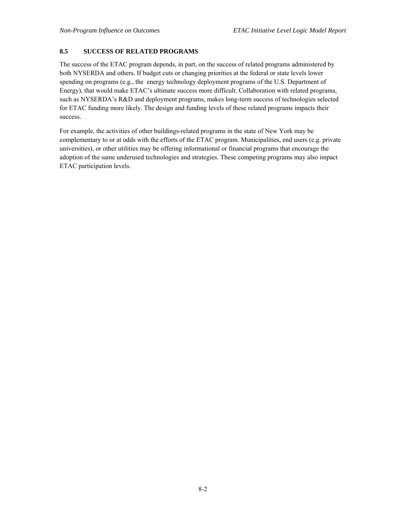### **8.5 SUCCESS OF RELATED PROGRAMS**

The success of the ETAC program depends, in part, on the success of related programs administered by both NYSERDA and others. If budget cuts or changing priorities at the federal or state levels lower spending on programs (e.g., the energy technology deployment programs of the U.S. Department of Energy), that would make ETAC's ultimate success more difficult. Collaboration with related programs, such as NYSERDA's R&D and deployment programs, makes long-term success of technologies selected for ETAC funding more likely. The design and funding levels of these related programs impacts their success.

 For example, the activities of other buildings-related programs in the state of New York may be complementary to or at odds with the efforts of the ETAC program. Municipalities, end users (e.g. private universities), or other utilities may be offering informational or financial programs that encourage the adoption of the same underused technologies and strategies. These competing programs may also impact ETAC participation levels.